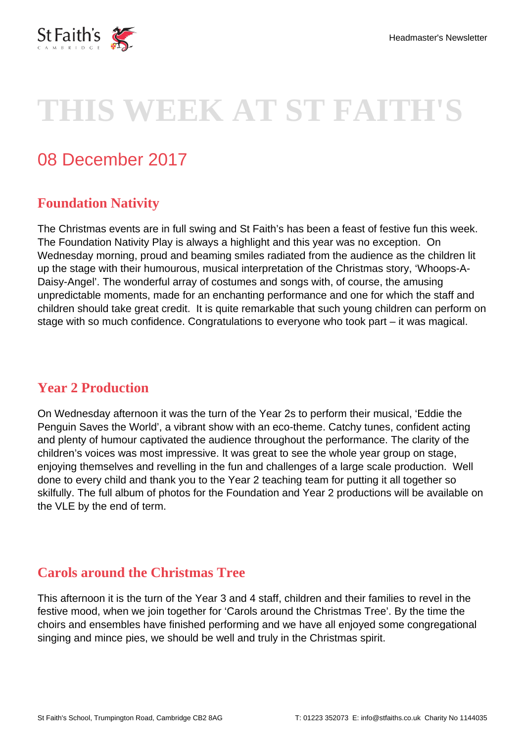

# **THIS WEEK AT ST FAITH'S**

# 08 December 2017

## **Foundation Nativity**

The Christmas events are in full swing and St Faith's has been a feast of festive fun this week. The Foundation Nativity Play is always a highlight and this year was no exception. On Wednesday morning, proud and beaming smiles radiated from the audience as the children lit up the stage with their humourous, musical interpretation of the Christmas story, 'Whoops-A-Daisy-Angel'. The wonderful array of costumes and songs with, of course, the amusing unpredictable moments, made for an enchanting performance and one for which the staff and children should take great credit. It is quite remarkable that such young children can perform on stage with so much confidence. Congratulations to everyone who took part – it was magical.

## **Year 2 Production**

On Wednesday afternoon it was the turn of the Year 2s to perform their musical, 'Eddie the Penguin Saves the World', a vibrant show with an eco-theme. Catchy tunes, confident acting and plenty of humour captivated the audience throughout the performance. The clarity of the children's voices was most impressive. It was great to see the whole year group on stage, enjoying themselves and revelling in the fun and challenges of a large scale production. Well done to every child and thank you to the Year 2 teaching team for putting it all together so skilfully. The full album of photos for the Foundation and Year 2 productions will be available on the VLE by the end of term.

#### **Carols around the Christmas Tree**

This afternoon it is the turn of the Year 3 and 4 staff, children and their families to revel in the festive mood, when we join together for 'Carols around the Christmas Tree'. By the time the choirs and ensembles have finished performing and we have all enjoyed some congregational singing and mince pies, we should be well and truly in the Christmas spirit.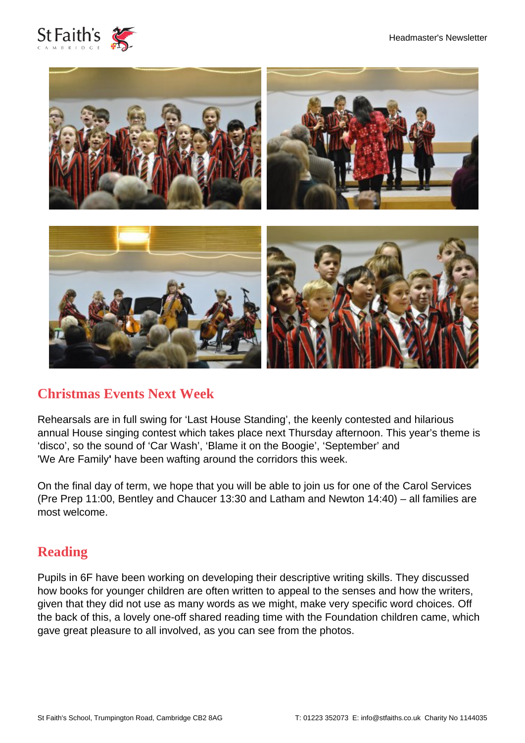



#### **Christmas Events Next Week**

Rehearsals are in full swing for 'Last House Standing', the keenly contested and hilarious annual House singing contest which takes place next Thursday afternoon. This year's theme is 'disco', so the sound of 'Car Wash', 'Blame it on the Boogie', 'September' and 'We Are Family**'** have been wafting around the corridors this week.

On the final day of term, we hope that you will be able to join us for one of the Carol Services (Pre Prep 11:00, Bentley and Chaucer 13:30 and Latham and Newton 14:40) – all families are most welcome.

#### **Reading**

Pupils in 6F have been working on developing their descriptive writing skills. They discussed how books for younger children are often written to appeal to the senses and how the writers, given that they did not use as many words as we might, make very specific word choices. Off the back of this, a lovely one-off shared reading time with the Foundation children came, which gave great pleasure to all involved, as you can see from the photos.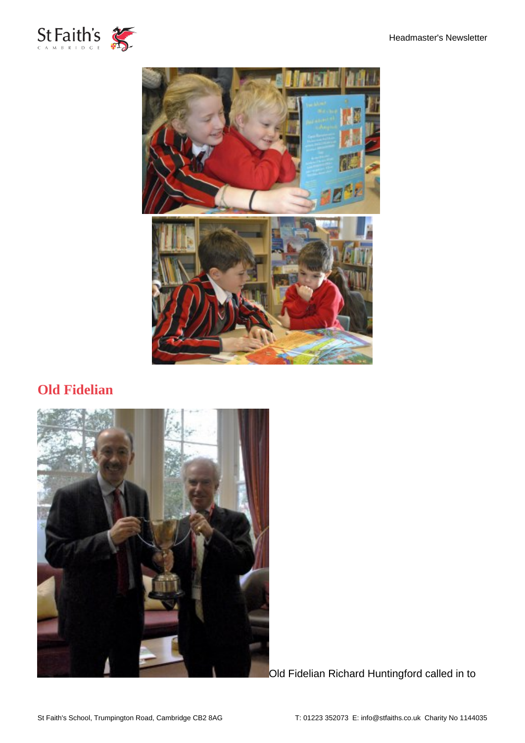



#### **Old Fidelian**



**[O](https://www.stfaiths.co.uk/wp-content/uploads/2017/12/Richard-Huntingford.jpg)ld Fidelian Richard Huntingford called in to**